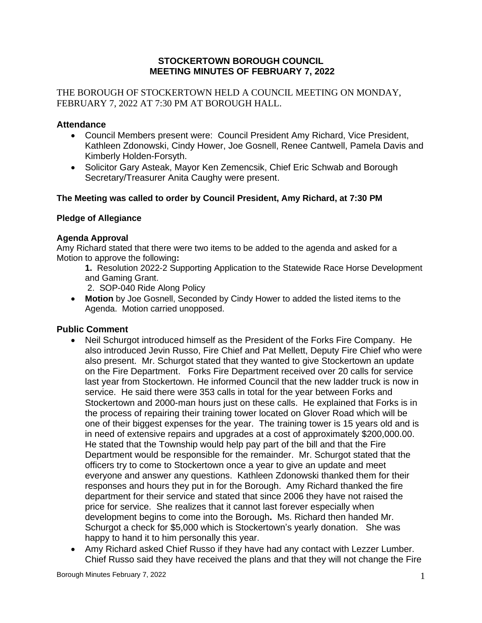### **STOCKERTOWN BOROUGH COUNCIL MEETING MINUTES OF FEBRUARY 7, 2022**

THE BOROUGH OF STOCKERTOWN HELD A COUNCIL MEETING ON MONDAY, FEBRUARY 7, 2022 AT 7:30 PM AT BOROUGH HALL.

## **Attendance**

- Council Members present were: Council President Amy Richard, Vice President, Kathleen Zdonowski, Cindy Hower, Joe Gosnell, Renee Cantwell, Pamela Davis and Kimberly Holden-Forsyth.
- Solicitor Gary Asteak, Mayor Ken Zemencsik, Chief Eric Schwab and Borough Secretary/Treasurer Anita Caughy were present.

## **The Meeting was called to order by Council President, Amy Richard, at 7:30 PM**

### **Pledge of Allegiance**

### **Agenda Approval**

Amy Richard stated that there were two items to be added to the agenda and asked for a Motion to approve the following**:**

- **1.** Resolution 2022-2 Supporting Application to the Statewide Race Horse Development and Gaming Grant.
	- 2. SOP-040 Ride Along Policy
- **Motion** by Joe Gosnell, Seconded by Cindy Hower to added the listed items to the Agenda. Motion carried unopposed.

### **Public Comment**

- Neil Schurgot introduced himself as the President of the Forks Fire Company. He also introduced Jevin Russo, Fire Chief and Pat Mellett, Deputy Fire Chief who were also present. Mr. Schurgot stated that they wanted to give Stockertown an update on the Fire Department. Forks Fire Department received over 20 calls for service last year from Stockertown. He informed Council that the new ladder truck is now in service. He said there were 353 calls in total for the year between Forks and Stockertown and 2000-man hours just on these calls. He explained that Forks is in the process of repairing their training tower located on Glover Road which will be one of their biggest expenses for the year. The training tower is 15 years old and is in need of extensive repairs and upgrades at a cost of approximately \$200,000.00. He stated that the Township would help pay part of the bill and that the Fire Department would be responsible for the remainder. Mr. Schurgot stated that the officers try to come to Stockertown once a year to give an update and meet everyone and answer any questions. Kathleen Zdonowski thanked them for their responses and hours they put in for the Borough. Amy Richard thanked the fire department for their service and stated that since 2006 they have not raised the price for service. She realizes that it cannot last forever especially when development begins to come into the Borough**.** Ms. Richard then handed Mr. Schurgot a check for \$5,000 which is Stockertown's yearly donation. She was happy to hand it to him personally this year.
- Amy Richard asked Chief Russo if they have had any contact with Lezzer Lumber. Chief Russo said they have received the plans and that they will not change the Fire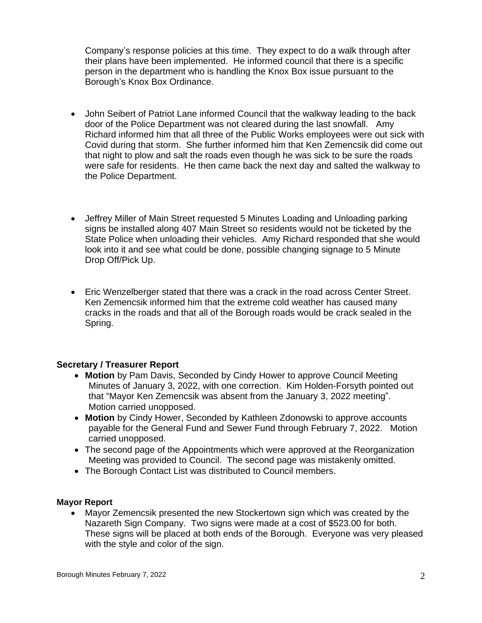Company's response policies at this time. They expect to do a walk through after their plans have been implemented. He informed council that there is a specific person in the department who is handling the Knox Box issue pursuant to the Borough's Knox Box Ordinance.

- John Seibert of Patriot Lane informed Council that the walkway leading to the back door of the Police Department was not cleared during the last snowfall. Amy Richard informed him that all three of the Public Works employees were out sick with Covid during that storm. She further informed him that Ken Zemencsik did come out that night to plow and salt the roads even though he was sick to be sure the roads were safe for residents. He then came back the next day and salted the walkway to the Police Department.
- Jeffrey Miller of Main Street requested 5 Minutes Loading and Unloading parking signs be installed along 407 Main Street so residents would not be ticketed by the State Police when unloading their vehicles. Amy Richard responded that she would look into it and see what could be done, possible changing signage to 5 Minute Drop Off/Pick Up.
- Eric Wenzelberger stated that there was a crack in the road across Center Street. Ken Zemencsik informed him that the extreme cold weather has caused many cracks in the roads and that all of the Borough roads would be crack sealed in the Spring.

### **Secretary / Treasurer Report**

- **Motion** by Pam Davis, Seconded by Cindy Hower to approve Council Meeting Minutes of January 3, 2022, with one correction. Kim Holden-Forsyth pointed out that "Mayor Ken Zemencsik was absent from the January 3, 2022 meeting". Motion carried unopposed.
- **Motion** by Cindy Hower, Seconded by Kathleen Zdonowski to approve accounts payable for the General Fund and Sewer Fund through February 7, 2022. Motion carried unopposed.
- The second page of the Appointments which were approved at the Reorganization Meeting was provided to Council. The second page was mistakenly omitted.
- The Borough Contact List was distributed to Council members.

# **Mayor Report**

• Mayor Zemencsik presented the new Stockertown sign which was created by the Nazareth Sign Company. Two signs were made at a cost of \$523.00 for both. These signs will be placed at both ends of the Borough. Everyone was very pleased with the style and color of the sign.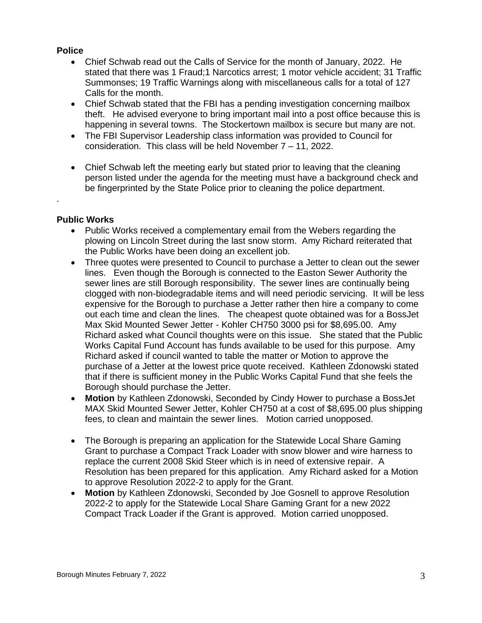## **Police**

- Chief Schwab read out the Calls of Service for the month of January, 2022. He stated that there was 1 Fraud;1 Narcotics arrest; 1 motor vehicle accident; 31 Traffic Summonses; 19 Traffic Warnings along with miscellaneous calls for a total of 127 Calls for the month.
- Chief Schwab stated that the FBI has a pending investigation concerning mailbox theft. He advised everyone to bring important mail into a post office because this is happening in several towns. The Stockertown mailbox is secure but many are not.
- The FBI Supervisor Leadership class information was provided to Council for consideration. This class will be held November 7 – 11, 2022.
- Chief Schwab left the meeting early but stated prior to leaving that the cleaning person listed under the agenda for the meeting must have a background check and be fingerprinted by the State Police prior to cleaning the police department.

### **Public Works**

.

- Public Works received a complementary email from the Webers regarding the plowing on Lincoln Street during the last snow storm. Amy Richard reiterated that the Public Works have been doing an excellent job.
- Three quotes were presented to Council to purchase a Jetter to clean out the sewer lines. Even though the Borough is connected to the Easton Sewer Authority the sewer lines are still Borough responsibility. The sewer lines are continually being clogged with non-biodegradable items and will need periodic servicing. It will be less expensive for the Borough to purchase a Jetter rather then hire a company to come out each time and clean the lines. The cheapest quote obtained was for a BossJet Max Skid Mounted Sewer Jetter - Kohler CH750 3000 psi for \$8,695.00. Amy Richard asked what Council thoughts were on this issue. She stated that the Public Works Capital Fund Account has funds available to be used for this purpose. Amy Richard asked if council wanted to table the matter or Motion to approve the purchase of a Jetter at the lowest price quote received. Kathleen Zdonowski stated that if there is sufficient money in the Public Works Capital Fund that she feels the Borough should purchase the Jetter.
- **Motion** by Kathleen Zdonowski, Seconded by Cindy Hower to purchase a BossJet MAX Skid Mounted Sewer Jetter, Kohler CH750 at a cost of \$8,695.00 plus shipping fees, to clean and maintain the sewer lines. Motion carried unopposed.
- The Borough is preparing an application for the Statewide Local Share Gaming Grant to purchase a Compact Track Loader with snow blower and wire harness to replace the current 2008 Skid Steer which is in need of extensive repair. A Resolution has been prepared for this application. Amy Richard asked for a Motion to approve Resolution 2022-2 to apply for the Grant.
- **Motion** by Kathleen Zdonowski, Seconded by Joe Gosnell to approve Resolution 2022-2 to apply for the Statewide Local Share Gaming Grant for a new 2022 Compact Track Loader if the Grant is approved. Motion carried unopposed.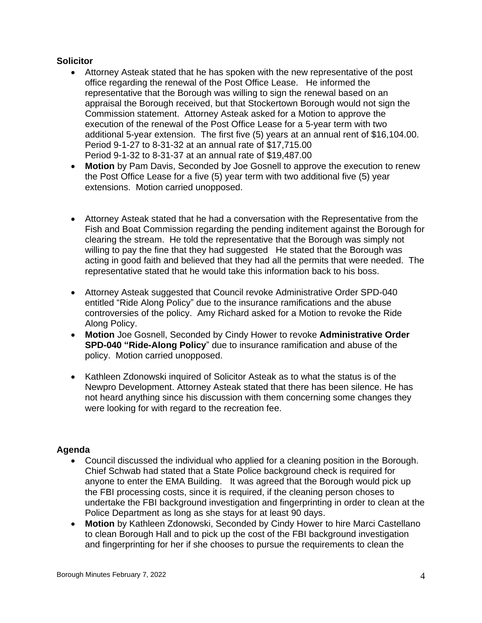## **Solicitor**

- Attorney Asteak stated that he has spoken with the new representative of the post office regarding the renewal of the Post Office Lease. He informed the representative that the Borough was willing to sign the renewal based on an appraisal the Borough received, but that Stockertown Borough would not sign the Commission statement. Attorney Asteak asked for a Motion to approve the execution of the renewal of the Post Office Lease for a 5-year term with two additional 5-year extension. The first five (5) years at an annual rent of \$16,104.00. Period 9-1-27 to 8-31-32 at an annual rate of \$17,715.00 Period 9-1-32 to 8-31-37 at an annual rate of \$19,487.00
- **Motion** by Pam Davis, Seconded by Joe Gosnell to approve the execution to renew the Post Office Lease for a five (5) year term with two additional five (5) year extensions. Motion carried unopposed.
- Attorney Asteak stated that he had a conversation with the Representative from the Fish and Boat Commission regarding the pending inditement against the Borough for clearing the stream. He told the representative that the Borough was simply not willing to pay the fine that they had suggested He stated that the Borough was acting in good faith and believed that they had all the permits that were needed. The representative stated that he would take this information back to his boss.
- Attorney Asteak suggested that Council revoke Administrative Order SPD-040 entitled "Ride Along Policy" due to the insurance ramifications and the abuse controversies of the policy. Amy Richard asked for a Motion to revoke the Ride Along Policy.
- **Motion** Joe Gosnell, Seconded by Cindy Hower to revoke **Administrative Order SPD-040 "Ride-Along Policy**" due to insurance ramification and abuse of the policy. Motion carried unopposed.
- Kathleen Zdonowski inquired of Solicitor Asteak as to what the status is of the Newpro Development. Attorney Asteak stated that there has been silence. He has not heard anything since his discussion with them concerning some changes they were looking for with regard to the recreation fee.

# **Agenda**

- Council discussed the individual who applied for a cleaning position in the Borough. Chief Schwab had stated that a State Police background check is required for anyone to enter the EMA Building. It was agreed that the Borough would pick up the FBI processing costs, since it is required, if the cleaning person choses to undertake the FBI background investigation and fingerprinting in order to clean at the Police Department as long as she stays for at least 90 days.
- **Motion** by Kathleen Zdonowski, Seconded by Cindy Hower to hire Marci Castellano to clean Borough Hall and to pick up the cost of the FBI background investigation and fingerprinting for her if she chooses to pursue the requirements to clean the